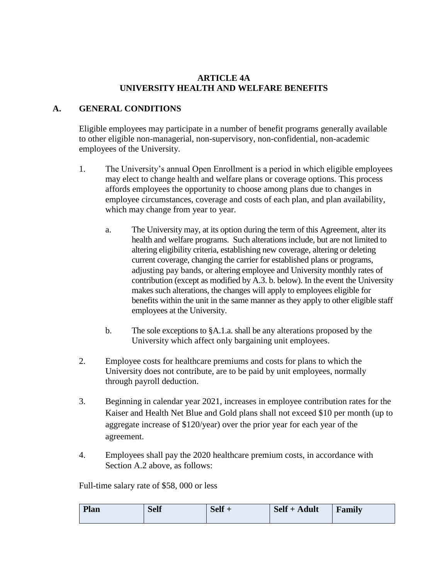#### **ARTICLE 4A UNIVERSITY HEALTH AND WELFARE BENEFITS**

# **A. GENERAL CONDITIONS**

Eligible employees may participate in a number of benefit programs generally available to other eligible non-managerial, non-supervisory, non-confidential, non-academic employees of the University.

- 1. The University's annual Open Enrollment is a period in which eligible employees may elect to change health and welfare plans or coverage options. This process affords employees the opportunity to choose among plans due to changes in employee circumstances, coverage and costs of each plan, and plan availability, which may change from year to year.
	- a. The University may, at its option during the term of this Agreement, alter its health and welfare programs. Such alterations include, but are not limited to altering eligibility criteria, establishing new coverage, altering or deleting current coverage, changing the carrier for established plans or programs, adjusting pay bands, or altering employee and University monthly rates of contribution (except as modified by A.3. b. below). In the event the University makes such alterations, the changes will apply to employees eligible for benefits within the unit in the same manner as they apply to other eligible staff employees at the University.
	- b. The sole exceptions to §A.1.a. shall be any alterations proposed by the University which affect only bargaining unit employees.
- 2. Employee costs for healthcare premiums and costs for plans to which the University does not contribute, are to be paid by unit employees, normally through payroll deduction.
- 3. Beginning in calendar year 2021, increases in employee contribution rates for the Kaiser and Health Net Blue and Gold plans shall not exceed \$10 per month (up to aggregate increase of \$120/year) over the prior year for each year of the agreement.
- 4. Employees shall pay the 2020 healthcare premium costs, in accordance with Section A.2 above, as follows:

Full-time salary rate of \$58, 000 or less

| Plan<br><b>Self</b> | <b>Self</b> | Self + Adult | Family |
|---------------------|-------------|--------------|--------|
|---------------------|-------------|--------------|--------|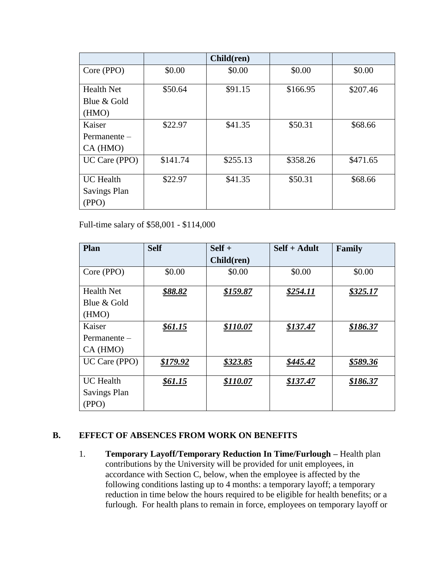|                     |          | Child(ren) |          |          |
|---------------------|----------|------------|----------|----------|
| Core (PPO)          | \$0.00   | \$0.00     | \$0.00   | \$0.00   |
| <b>Health Net</b>   | \$50.64  | \$91.15    | \$166.95 | \$207.46 |
| Blue & Gold         |          |            |          |          |
| (HMO)               |          |            |          |          |
| Kaiser              | \$22.97  | \$41.35    | \$50.31  | \$68.66  |
| $Permanente -$      |          |            |          |          |
| CA (HMO)            |          |            |          |          |
| UC Care (PPO)       | \$141.74 | \$255.13   | \$358.26 | \$471.65 |
| <b>UC</b> Health    | \$22.97  | \$41.35    | \$50.31  | \$68.66  |
| <b>Savings Plan</b> |          |            |          |          |
| (PPO)               |          |            |          |          |

Full-time salary of \$58,001 - \$114,000

| Plan              | <b>Self</b> | $Self +$   | $Self + Adult$ | Family   |
|-------------------|-------------|------------|----------------|----------|
|                   |             | Child(ren) |                |          |
| Core (PPO)        | \$0.00      | \$0.00     | \$0.00         | \$0.00   |
| <b>Health Net</b> | \$88.82     | \$159.87   | \$254.11       | \$325.17 |
| Blue & Gold       |             |            |                |          |
| (HMO)             |             |            |                |          |
| Kaiser            | \$61.15     | \$110.07   | \$137.47       | \$186.37 |
| $Permanente -$    |             |            |                |          |
| CA(HMO)           |             |            |                |          |
| UC Care (PPO)     | \$179.92    | \$323.85   | \$445.42       | \$589.36 |
| <b>UC</b> Health  | \$61.15     | \$110.07   | \$137.47       | \$186.37 |
| Savings Plan      |             |            |                |          |
| (PPO)             |             |            |                |          |

### **B. EFFECT OF ABSENCES FROM WORK ON BENEFITS**

1. **Temporary Layoff/Temporary Reduction In Time/Furlough –** Health plan contributions by the University will be provided for unit employees, in accordance with Section C, below, when the employee is affected by the following conditions lasting up to 4 months: a temporary layoff; a temporary reduction in time below the hours required to be eligible for health benefits; or a furlough. For health plans to remain in force, employees on temporary layoff or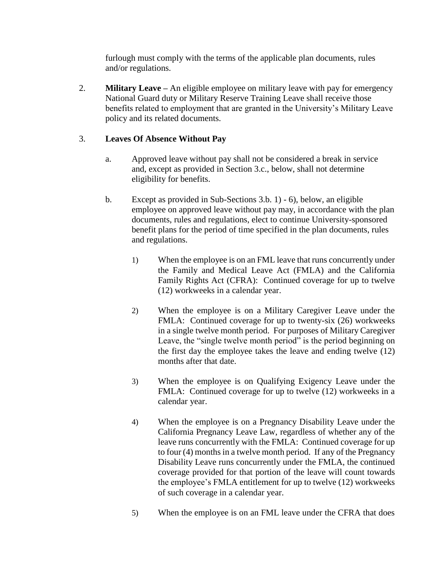furlough must comply with the terms of the applicable plan documents, rules and/or regulations.

2. **Military Leave –** An eligible employee on military leave with pay for emergency National Guard duty or Military Reserve Training Leave shall receive those benefits related to employment that are granted in the University's Military Leave policy and its related documents.

## 3. **Leaves Of Absence Without Pay**

- a. Approved leave without pay shall not be considered a break in service and, except as provided in Section 3.c., below, shall not determine eligibility for benefits.
- b. Except as provided in Sub-Sections 3.b. 1) 6), below, an eligible employee on approved leave without pay may, in accordance with the plan documents, rules and regulations, elect to continue University-sponsored benefit plans for the period of time specified in the plan documents, rules and regulations.
	- 1) When the employee is on an FML leave that runs concurrently under the Family and Medical Leave Act (FMLA) and the California Family Rights Act (CFRA): Continued coverage for up to twelve (12) workweeks in a calendar year.
	- 2) When the employee is on a Military Caregiver Leave under the FMLA: Continued coverage for up to twenty-six (26) workweeks in a single twelve month period. For purposes of Military Caregiver Leave, the "single twelve month period" is the period beginning on the first day the employee takes the leave and ending twelve (12) months after that date.
	- 3) When the employee is on Qualifying Exigency Leave under the FMLA: Continued coverage for up to twelve (12) workweeks in a calendar year.
	- 4) When the employee is on a Pregnancy Disability Leave under the California Pregnancy Leave Law, regardless of whether any of the leave runs concurrently with the FMLA: Continued coverage for up to four (4) months in a twelve month period. If any of the Pregnancy Disability Leave runs concurrently under the FMLA, the continued coverage provided for that portion of the leave will count towards the employee's FMLA entitlement for up to twelve (12) workweeks of such coverage in a calendar year.
	- 5) When the employee is on an FML leave under the CFRA that does